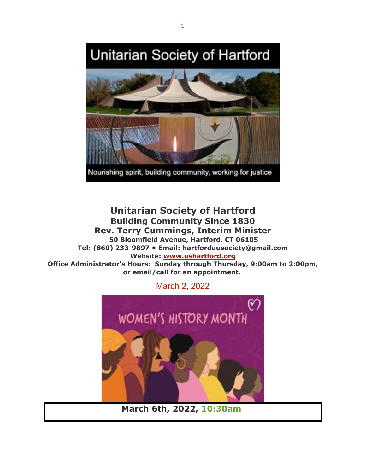# Unitarian Society of Hartford



Nourishing spirit, building community, working for justice

**Unitarian Society of Hartford Building Community Since 1830 Rev. Terry Cummings, Interim Minister 50 Bloomfield Avenue, Hartford, CT 06105 Tel: (860) 233-9897 • Email: hartforduusociety@gmail.com Website: www.ushartford.org Office Administrator's Hours: Sunday through Thursday, 9:00am to 2:00pm, or email/call for an appointment.**

March 2, 2022



**March 6th, 2022, 10:30am**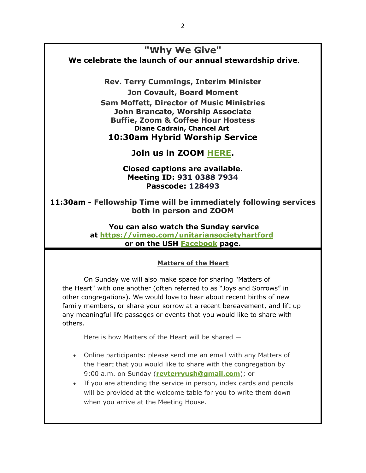## **"Why We Give"**

**We celebrate the launch of our annual stewardship drive**.

**Rev. Terry Cummings, Interim Minister Jon Covault, Board Moment Sam Moffett, Director of Music Ministries John Brancato, Worship Associate Buffie, Zoom & Coffee Hour Hostess Diane Cadrain, Chancel Art 10:30am Hybrid Worship Service**

**Join us in ZOOM HERE.**

**Closed captions are available. Meeting ID: 931 0388 7934 Passcode: 128493**

**11:30am - Fellowship Time will be immediately following services both in person and ZOOM**

> **You can also watch the Sunday service at https://vimeo.com/unitariansocietyhartford or on the USH Facebook page.**

#### **Matters of the Heart**

On Sunday we will also make space for sharing "Matters of the Heart" with one another (often referred to as "Joys and Sorrows" in other congregations). We would love to hear about recent births of new family members, or share your sorrow at a recent bereavement, and lift up any meaningful life passages or events that you would like to share with others.

Here is how Matters of the Heart will be shared —

- Online participants: please send me an email with any Matters of the Heart that you would like to share with the congregation by 9:00 a.m. on Sunday (**revterryush@gmail.com**); or
- If you are attending the service in person, index cards and pencils will be provided at the welcome table for you to write them down when you arrive at the Meeting House.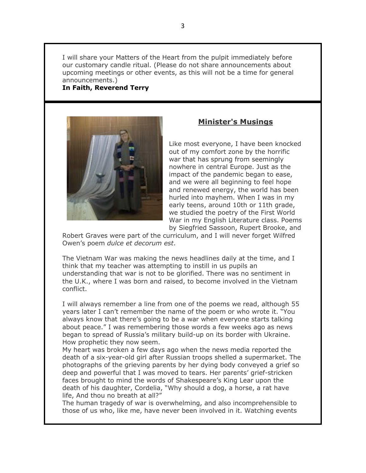I will share your Matters of the Heart from the pulpit immediately before our customary candle ritual. (Please do not share announcements about upcoming meetings or other events, as this will not be a time for general announcements.)

#### **In Faith, Reverend Terry**



#### **Minister's Musings**

Like most everyone, I have been knocked out of my comfort zone by the horrific war that has sprung from seemingly nowhere in central Europe. Just as the impact of the pandemic began to ease, and we were all beginning to feel hope and renewed energy, the world has been hurled into mayhem. When I was in my early teens, around 10th or 11th grade, we studied the poetry of the First World War in my English Literature class. Poems by Siegfried Sassoon, Rupert Brooke, and

Robert Graves were part of the curriculum, and I will never forget Wilfred Owen's poem *dulce et decorum est*.

The Vietnam War was making the news headlines daily at the time, and I think that my teacher was attempting to instill in us pupils an understanding that war is not to be glorified. There was no sentiment in the U.K., where I was born and raised, to become involved in the Vietnam conflict.

I will always remember a line from one of the poems we read, although 55 years later I can't remember the name of the poem or who wrote it. "You always know that there's going to be a war when everyone starts talking about peace." I was remembering those words a few weeks ago as news began to spread of Russia's military build-up on its border with Ukraine. How prophetic they now seem.

My heart was broken a few days ago when the news media reported the death of a six-year-old girl after Russian troops shelled a supermarket. The photographs of the grieving parents by her dying body conveyed a grief so deep and powerful that I was moved to tears. Her parents' grief-stricken faces brought to mind the words of Shakespeare's King Lear upon the death of his daughter, Cordelia, "Why should a dog, a horse, a rat have life, And thou no breath at all?"

The human tragedy of war is overwhelming, and also incomprehensible to those of us who, like me, have never been involved in it. Watching events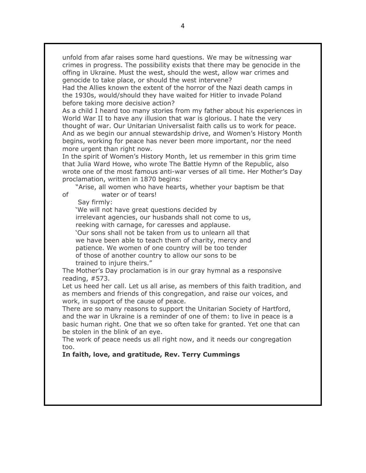unfold from afar raises some hard questions. We may be witnessing war crimes in progress. The possibility exists that there may be genocide in the offing in Ukraine. Must the west, should the west, allow war crimes and genocide to take place, or should the west intervene?

Had the Allies known the extent of the horror of the Nazi death camps in the 1930s, would/should they have waited for Hitler to invade Poland before taking more decisive action?

As a child I heard too many stories from my father about his experiences in World War II to have any illusion that war is glorious. I hate the very thought of war. Our Unitarian Universalist faith calls us to work for peace. And as we begin our annual stewardship drive, and Women's History Month begins, working for peace has never been more important, nor the need more urgent than right now.

In the spirit of Women's History Month, let us remember in this grim time that Julia Ward Howe, who wrote The Battle Hymn of the Republic, also wrote one of the most famous anti-war verses of all time. Her Mother's Day proclamation, written in 1870 begins:

"Arise, all women who have hearts, whether your baptism be that of water or of tears!

Say firmly:

'We will not have great questions decided by irrelevant agencies, our husbands shall not come to us, reeking with carnage, for caresses and applause. 'Our sons shall not be taken from us to unlearn all that we have been able to teach them of charity, mercy and patience. We women of one country will be too tender of those of another country to allow our sons to be trained to injure theirs."

The Mother's Day proclamation is in our gray hymnal as a responsive reading, #573.

Let us heed her call. Let us all arise, as members of this faith tradition, and as members and friends of this congregation, and raise our voices, and work, in support of the cause of peace.

There are so many reasons to support the Unitarian Society of Hartford, and the war in Ukraine is a reminder of one of them: to live in peace is a basic human right. One that we so often take for granted. Yet one that can be stolen in the blink of an eye.

The work of peace needs us all right now, and it needs our congregation too.

#### **In faith, love, and gratitude, Rev. Terry Cummings**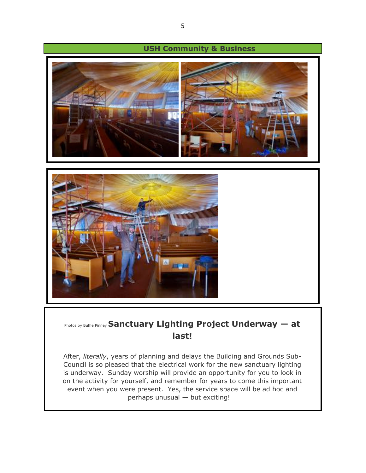

### Photos by Buffie Pinney **Sanctuary Lighting Project Underway — at last!**

After, *literally*, years of planning and delays the Building and Grounds Sub-Council is so pleased that the electrical work for the new sanctuary lighting is underway. Sunday worship will provide an opportunity for you to look in on the activity for yourself, and remember for years to come this important event when you were present. Yes, the service space will be ad hoc and perhaps unusual — but exciting!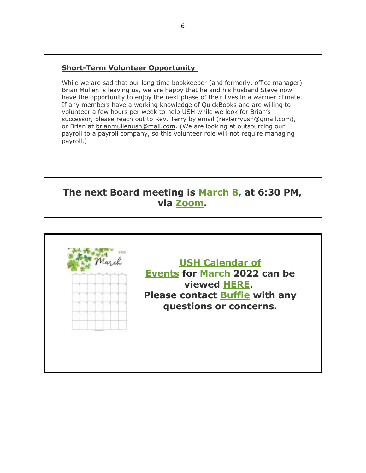#### **Short-Term Volunteer Opportunity**

While we are sad that our long time bookkeeper (and formerly, office manager) Brian Mullen is leaving us, we are happy that he and his husband Steve now have the opportunity to enjoy the next phase of their lives in a warmer climate. If any members have a working knowledge of QuickBooks and are willing to volunteer a few hours per week to help USH while we look for Brian's successor, please reach out to Rev. Terry by email (revterryush@gmail.com), or Brian at brianmullenush@mail.com. (We are looking at outsourcing our payroll to a payroll company, so this volunteer role will not require managing payroll.)

## **The next Board meeting is March 8, at 6:30 PM, via Zoom.**

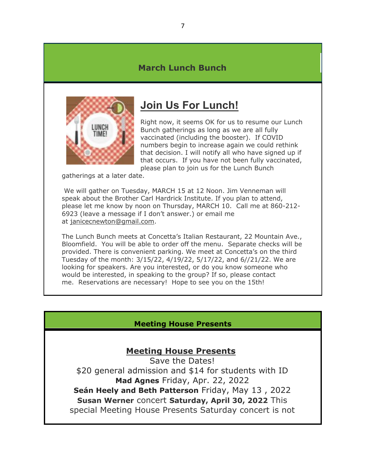#### **March Lunch Bunch**



## **Join Us For Lunch!**

Right now, it seems OK for us to resume our Lunch Bunch gatherings as long as we are all fully vaccinated (including the booster). If COVID numbers begin to increase again we could rethink that decision. I will notify all who have signed up if that occurs. If you have not been fully vaccinated, please plan to join us for the Lunch Bunch

gatherings at a later date.

We will gather on Tuesday, MARCH 15 at 12 Noon. Jim Venneman will speak about the Brother Carl Hardrick Institute. If you plan to attend, please let me know by noon on Thursday, MARCH 10. Call me at 860-212- 6923 (leave a message if I don't answer.) or email me at janicecnewton@gmail.com.

The Lunch Bunch meets at Concetta's Italian Restaurant, 22 Mountain Ave., Bloomfield. You will be able to order off the menu. Separate checks will be provided. There is convenient parking. We meet at Concetta's on the third Tuesday of the month: 3/15/22, 4/19/22, 5/17/22, and 6//21/22. We are looking for speakers. Are you interested, or do you know someone who would be interested, in speaking to the group? If so, please contact me. Reservations are necessary! Hope to see you on the 15th!

#### **Meeting House Presents**

#### **Meeting House Presents**

Save the Dates! \$20 general admission and \$14 for students with ID **Mad Agnes** Friday, Apr. 22, 2022 **Seán Heely and Beth Patterson** Friday, May 13 , 2022 **Susan Werner** concert **Saturday, April 30, 2022** This special Meeting House Presents Saturday concert is not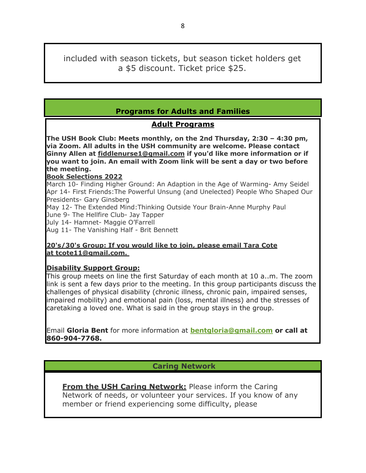included with season tickets, but season ticket holders get a \$5 discount. Ticket price \$25.

#### **Programs for Adults and Families**

#### **Adult Programs**

**The USH Book Club: Meets monthly, on the 2nd Thursday, 2:30 – 4:30 pm, via Zoom. All adults in the USH community are welcome. Please contact Ginny Allen at fiddlenurse1@gmail.com if you'd like more information or if you want to join. An email with Zoom link will be sent a day or two before the meeting.**

#### **Book Selections 2022**

March 10- Finding Higher Ground: An Adaption in the Age of Warming- Amy Seidel Apr 14- First Friends:The Powerful Unsung (and Unelected) People Who Shaped Our Presidents- Gary Ginsberg

May 12- The Extended Mind:Thinking Outside Your Brain-Anne Murphy Paul June 9- The Hellfire Club- Jay Tapper

July 14- Hamnet- Maggie O'Farrell

Aug 11- The Vanishing Half - Brit Bennett

#### **20's/30's Group: If you would like to join, please email Tara Cote at tcote11@gmail.com.**

#### **Disability Support Group:**

This group meets on line the first Saturday of each month at 10 a..m. The zoom link is sent a few days prior to the meeting. In this group participants discuss the challenges of physical disability (chronic illness, chronic pain, impaired senses, impaired mobility) and emotional pain (loss, mental illness) and the stresses of caretaking a loved one. What is said in the group stays in the group.

Email **Gloria Bent** for more information at **bentgloria@gmail.com or call at 860-904-7768.**

#### **Caring Network**

**From the USH Caring Network:** Please inform the Caring Network of needs, or volunteer your services. If you know of any member or friend experiencing some difficulty, please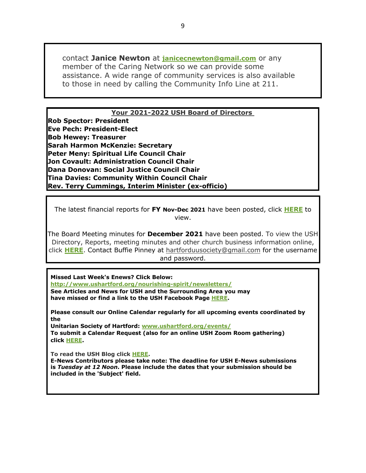contact **Janice Newton** at **janicecnewton@gmail.com** or any member of the Caring Network so we can provide some assistance. A wide range of community services is also available to those in need by calling the Community Info Line at 211.

#### **Your 2021-2022 USH Board of Directors**

**Rob Spector: President Eve Pech: President-Elect Bob Hewey: Treasurer Sarah Harmon McKenzie: Secretary Peter Meny: Spiritual Life Council Chair Jon Covault: Administration Council Chair Dana Donovan: Social Justice Council Chair Tina Davies: Community Within Council Chair Rev. Terry Cummings, Interim Minister (ex-officio)**

The latest financial reports for **FY Nov-Dec 2021** have been posted, click **HERE** to view.

The Board Meeting minutes for **December 2021** have been posted. To view the USH Directory, Reports, meeting minutes and other church business information online, click **HERE**. Contact Buffie Pinney at hartforduusociety@gmail.com for the username and password.

**Missed Last Week's Enews? Click Below: http://www.ushartford.org/nourishing-spirit/newsletters/ See Articles and News for USH and the Surrounding Area you may have missed or find a link to the USH Facebook Page HERE.**

**Please consult our Online Calendar regularly for all upcoming events coordinated by the**

**Unitarian Society of Hartford: www.ushartford.org/events/ To submit a Calendar Request (also for an online USH Zoom Room gathering) click HERE.**

**To read the USH Blog click HERE.**

**E-News Contributors please take note: The deadline for USH E-News submissions is** *Tuesday at 12 Noon***. Please include the dates that your submission should be included in the 'Subject' field.**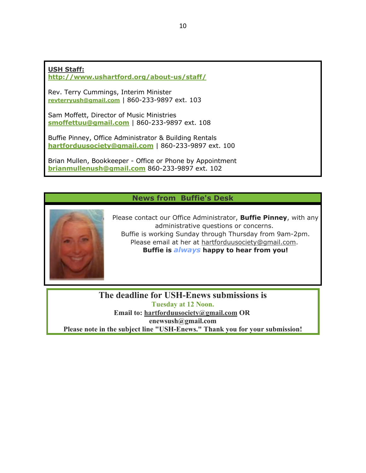#### **USH Staff:**

**http://www.ushartford.org/about-us/staff/**

Rev. Terry Cummings, Interim Minister **revterryush@gmail.com** | 860-233-9897 ext. 103

Sam Moffett, Director of Music Ministries **smoffettuu@gmail.com** | 860-233-9897 ext. 108

Buffie Pinney, Office Administrator & Building Rentals **hartforduusociety@gmail.com** | 860-233-9897 ext. 100

Brian Mullen, Bookkeeper - Office or Phone by Appointment **brianmullenush@gmail.com** 860-233-9897 ext. 102

#### **News from Buffie's Desk**



Please contact our Office Administrator, **Buffie Pinney**, with any administrative questions or concerns. Buffie is working Sunday through Thursday from 9am-2pm. Please email at her at hartforduusociety@gmail.com. **Buffie is** *always* **happy to hear from you!**

**The deadline for USH-Enews submissions is Tuesday at 12 Noon. Email to: hartforduusociety@gmail.com OR enewsush@gmail.com Please note in the subject line "USH-Enews." Thank you for your submission!**